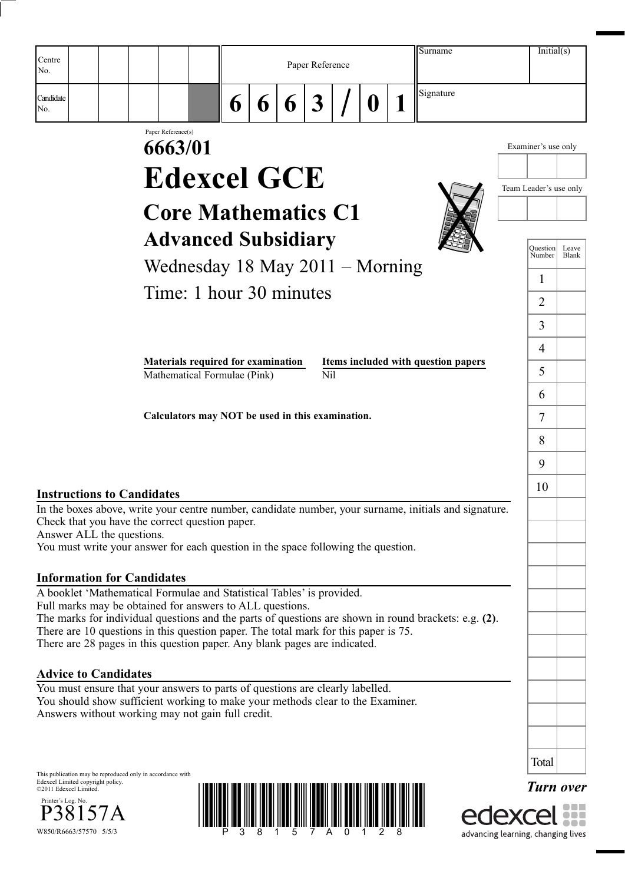|                                                                                                                                                                   |                                                                    |                                                                                                                      |   |   |                 |   | Surname                                                                                               | Initial(s)             |       |
|-------------------------------------------------------------------------------------------------------------------------------------------------------------------|--------------------------------------------------------------------|----------------------------------------------------------------------------------------------------------------------|---|---|-----------------|---|-------------------------------------------------------------------------------------------------------|------------------------|-------|
| Centre<br>No.                                                                                                                                                     |                                                                    |                                                                                                                      |   |   | Paper Reference |   |                                                                                                       |                        |       |
| Candidate<br>No.                                                                                                                                                  |                                                                    | 6                                                                                                                    | 6 | 6 | 3               | 0 | Signature                                                                                             |                        |       |
|                                                                                                                                                                   | Paper Reference(s)<br>6663/01                                      |                                                                                                                      |   |   |                 |   |                                                                                                       | Examiner's use only    |       |
|                                                                                                                                                                   |                                                                    |                                                                                                                      |   |   |                 |   |                                                                                                       |                        |       |
|                                                                                                                                                                   | <b>Edexcel GCE</b>                                                 |                                                                                                                      |   |   |                 |   |                                                                                                       | Team Leader's use only |       |
|                                                                                                                                                                   | <b>Core Mathematics C1</b>                                         |                                                                                                                      |   |   |                 |   |                                                                                                       |                        |       |
|                                                                                                                                                                   | <b>Advanced Subsidiary</b>                                         |                                                                                                                      |   |   |                 |   |                                                                                                       | <b>Question</b>        | Leave |
|                                                                                                                                                                   | Wednesday $18$ May $2011 -$ Morning                                |                                                                                                                      |   |   |                 |   |                                                                                                       | Number                 | Blank |
|                                                                                                                                                                   | Time: 1 hour 30 minutes                                            |                                                                                                                      |   |   |                 |   |                                                                                                       | 1                      |       |
|                                                                                                                                                                   |                                                                    |                                                                                                                      |   |   |                 |   |                                                                                                       | 2                      |       |
|                                                                                                                                                                   |                                                                    |                                                                                                                      |   |   |                 |   |                                                                                                       | 3                      |       |
|                                                                                                                                                                   |                                                                    |                                                                                                                      |   |   |                 |   |                                                                                                       | 4                      |       |
|                                                                                                                                                                   | Materials required for examination<br>Mathematical Formulae (Pink) |                                                                                                                      |   |   | Nil             |   | Items included with question papers                                                                   | 5                      |       |
|                                                                                                                                                                   |                                                                    |                                                                                                                      |   |   |                 |   |                                                                                                       | 6                      |       |
|                                                                                                                                                                   | Calculators may NOT be used in this examination.                   |                                                                                                                      |   |   |                 |   |                                                                                                       | 7                      |       |
|                                                                                                                                                                   |                                                                    |                                                                                                                      |   |   |                 |   |                                                                                                       | 8                      |       |
|                                                                                                                                                                   |                                                                    |                                                                                                                      |   |   |                 |   |                                                                                                       | 9                      |       |
| <b>Instructions to Candidates</b>                                                                                                                                 |                                                                    |                                                                                                                      |   |   |                 |   |                                                                                                       | 10                     |       |
| Check that you have the correct question paper.<br>Answer ALL the questions.<br>You must write your answer for each question in the space following the question. |                                                                    |                                                                                                                      |   |   |                 |   | In the boxes above, write your centre number, candidate number, your surname, initials and signature. |                        |       |
| <b>Information for Candidates</b>                                                                                                                                 |                                                                    |                                                                                                                      |   |   |                 |   |                                                                                                       |                        |       |
| A booklet 'Mathematical Formulae and Statistical Tables' is provided.                                                                                             |                                                                    |                                                                                                                      |   |   |                 |   |                                                                                                       |                        |       |
| Full marks may be obtained for answers to ALL questions.<br>The marks for individual questions and the parts of questions are shown in round brackets: e.g. (2).  |                                                                    |                                                                                                                      |   |   |                 |   |                                                                                                       |                        |       |
| There are 10 questions in this question paper. The total mark for this paper is 75.<br>There are 28 pages in this question paper. Any blank pages are indicated.  |                                                                    |                                                                                                                      |   |   |                 |   |                                                                                                       |                        |       |
|                                                                                                                                                                   |                                                                    |                                                                                                                      |   |   |                 |   |                                                                                                       |                        |       |
| <b>Advice to Candidates</b>                                                                                                                                       |                                                                    |                                                                                                                      |   |   |                 |   |                                                                                                       |                        |       |
| You must ensure that your answers to parts of questions are clearly labelled.<br>You should show sufficient working to make your methods clear to the Examiner.   |                                                                    |                                                                                                                      |   |   |                 |   |                                                                                                       |                        |       |
| Answers without working may not gain full credit.                                                                                                                 |                                                                    |                                                                                                                      |   |   |                 |   |                                                                                                       |                        |       |
|                                                                                                                                                                   |                                                                    |                                                                                                                      |   |   |                 |   |                                                                                                       |                        |       |
| This publication may be reproduced only in accordance with                                                                                                        |                                                                    |                                                                                                                      |   |   |                 |   |                                                                                                       | Total                  |       |
| Edexcel Limited copyright policy.<br>©2011 Edexcel Limited.                                                                                                       |                                                                    | <u>   IT SILIT SILIT IN SILIT IN SILIT IN SILIT IN SILIT IN SILIT IN SILIT IN SILIT IN SILIT IN SILIT IN SILIT I</u> |   |   |                 |   |                                                                                                       | <b>Turn over</b>       |       |

P38157A



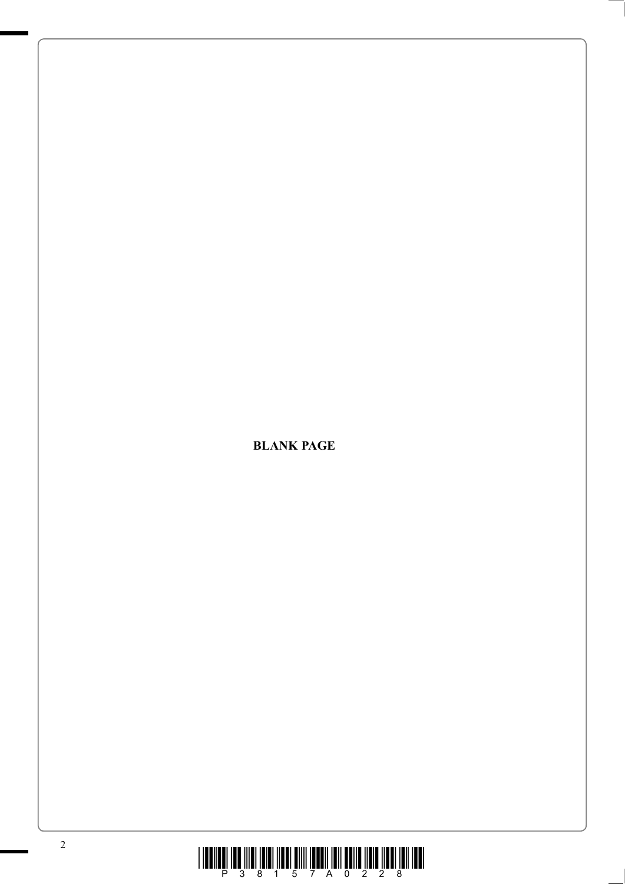**BLANK PAGE**

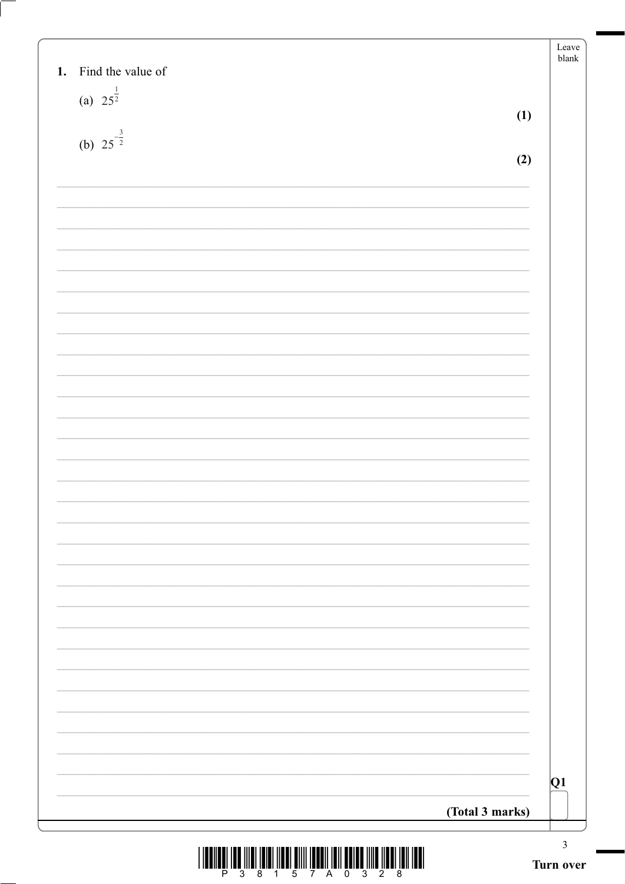|                         | Leave<br>${\tt blank}$ |
|-------------------------|------------------------|
| Find the value of<br>1. |                        |
| (a) $25^{\frac{1}{2}}$  |                        |
|                         | (1)                    |
| (b) $25^{-\frac{3}{2}}$ |                        |
|                         | (2)                    |
|                         |                        |
|                         |                        |
|                         |                        |
|                         |                        |
|                         |                        |
|                         |                        |
|                         |                        |
|                         |                        |
|                         |                        |
|                         |                        |
|                         |                        |
|                         |                        |
|                         |                        |
|                         |                        |
|                         |                        |
|                         |                        |
|                         |                        |
|                         |                        |
|                         |                        |
|                         |                        |
|                         |                        |
|                         |                        |
|                         |                        |
|                         |                        |
|                         |                        |
|                         |                        |
|                         |                        |
|                         |                        |
|                         | Q1                     |
|                         | (Total 3 marks)        |
|                         |                        |

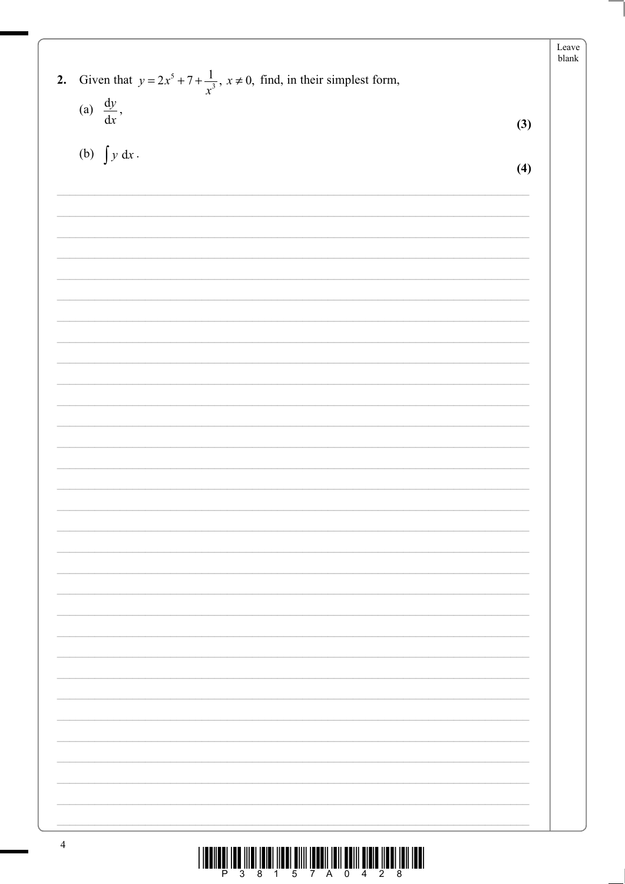|                                                                                             |     | Leave<br>$\ensuremath{\textrm{blank}}$ |
|---------------------------------------------------------------------------------------------|-----|----------------------------------------|
| Given that $y = 2x^5 + 7 + \frac{1}{x^3}$ , $x \ne 0$ , find, in their simplest form,<br>2. |     |                                        |
|                                                                                             |     |                                        |
| (a) $\frac{dy}{dx}$ ,                                                                       | (3) |                                        |
|                                                                                             |     |                                        |
| (b) $\int y dx$ .                                                                           | (4) |                                        |
|                                                                                             |     |                                        |
|                                                                                             |     |                                        |
|                                                                                             |     |                                        |
|                                                                                             |     |                                        |
|                                                                                             |     |                                        |
|                                                                                             |     |                                        |
|                                                                                             |     |                                        |
|                                                                                             |     |                                        |
|                                                                                             |     |                                        |
|                                                                                             |     |                                        |
|                                                                                             |     |                                        |
|                                                                                             |     |                                        |
|                                                                                             |     |                                        |
|                                                                                             |     |                                        |
|                                                                                             |     |                                        |
|                                                                                             |     |                                        |
|                                                                                             |     |                                        |
|                                                                                             |     |                                        |
|                                                                                             |     |                                        |
|                                                                                             |     |                                        |
|                                                                                             |     |                                        |
|                                                                                             |     |                                        |
|                                                                                             |     |                                        |
|                                                                                             |     |                                        |
|                                                                                             |     |                                        |
|                                                                                             |     |                                        |
|                                                                                             |     |                                        |
|                                                                                             |     |                                        |
|                                                                                             |     |                                        |
|                                                                                             |     |                                        |
|                                                                                             |     |                                        |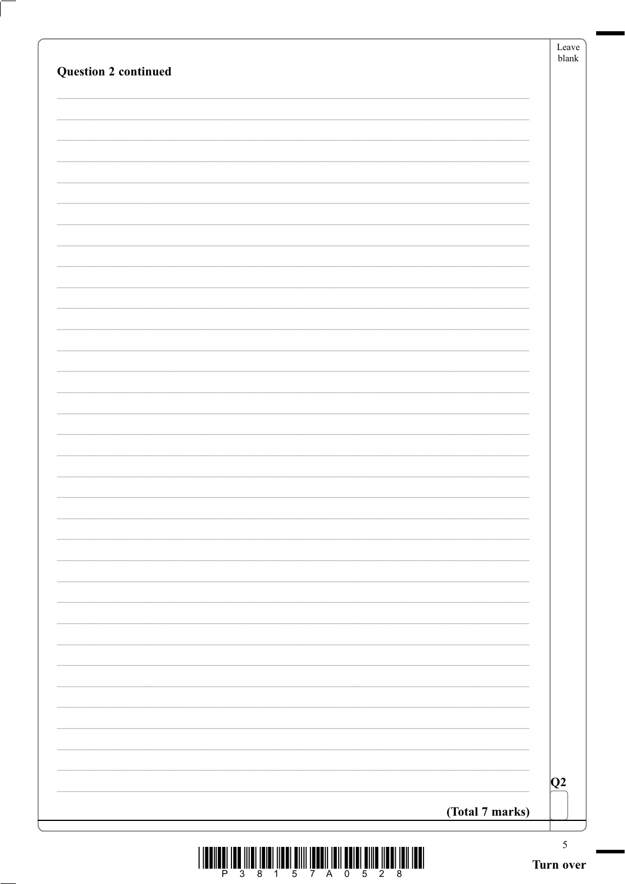| <b>Question 2 continued</b> |                 | Leave<br>${\sf blank}$ |
|-----------------------------|-----------------|------------------------|
|                             |                 |                        |
|                             |                 |                        |
|                             |                 |                        |
|                             |                 |                        |
|                             |                 |                        |
|                             |                 |                        |
|                             |                 |                        |
|                             |                 |                        |
|                             |                 |                        |
|                             |                 |                        |
|                             |                 |                        |
|                             |                 |                        |
|                             |                 |                        |
|                             |                 |                        |
|                             |                 |                        |
|                             |                 |                        |
|                             |                 |                        |
|                             |                 |                        |
|                             |                 |                        |
|                             |                 |                        |
|                             |                 |                        |
|                             |                 |                        |
|                             |                 |                        |
|                             |                 |                        |
|                             |                 |                        |
|                             |                 |                        |
|                             |                 |                        |
|                             |                 |                        |
|                             |                 | Q2                     |
|                             |                 |                        |
|                             | (Total 7 marks) |                        |
|                             |                 | 5<br>Turn over         |

Ĺ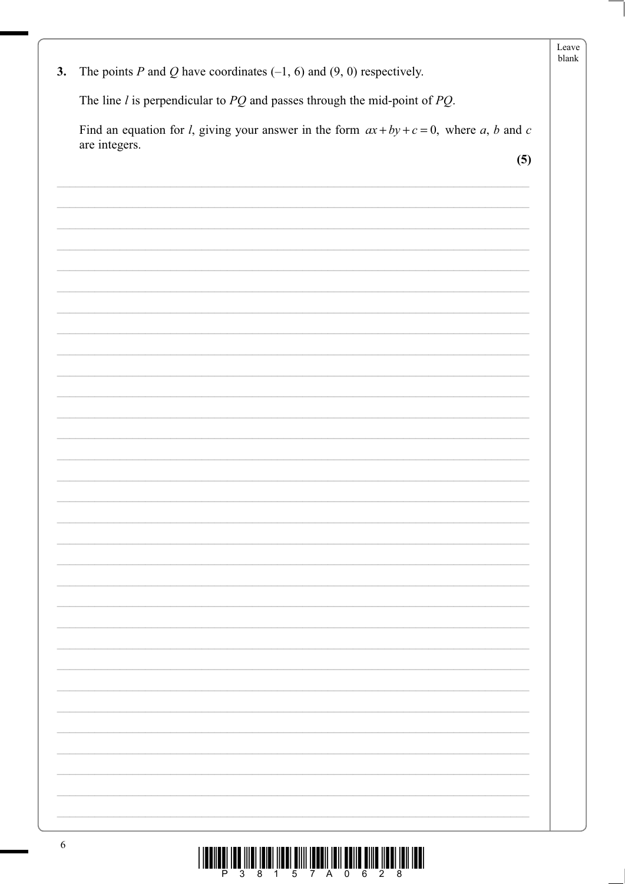| The points P and Q have coordinates $(-1, 6)$ and $(9, 0)$ respectively.<br>3.                                       |     |
|----------------------------------------------------------------------------------------------------------------------|-----|
| The line $l$ is perpendicular to $PQ$ and passes through the mid-point of $PQ$ .                                     |     |
| Find an equation for <i>l</i> , giving your answer in the form $ax + by + c = 0$ , where a, b and c<br>are integers. |     |
|                                                                                                                      | (5) |
|                                                                                                                      |     |
|                                                                                                                      |     |
|                                                                                                                      |     |
|                                                                                                                      |     |
|                                                                                                                      |     |
|                                                                                                                      |     |
|                                                                                                                      |     |
|                                                                                                                      |     |
|                                                                                                                      |     |
|                                                                                                                      |     |
|                                                                                                                      |     |
|                                                                                                                      |     |
|                                                                                                                      |     |
|                                                                                                                      |     |
|                                                                                                                      |     |
|                                                                                                                      |     |
|                                                                                                                      |     |
|                                                                                                                      |     |
|                                                                                                                      |     |
|                                                                                                                      |     |
|                                                                                                                      |     |
|                                                                                                                      |     |
|                                                                                                                      |     |
|                                                                                                                      |     |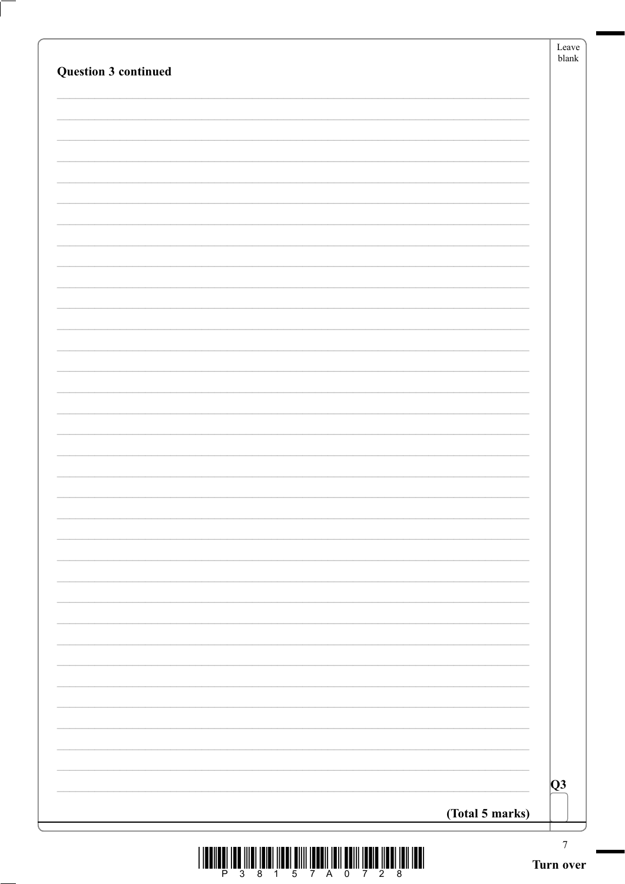| Question 3 continued |                 | Leave<br>$\ensuremath{\textrm{blank}}$ |
|----------------------|-----------------|----------------------------------------|
|                      |                 |                                        |
|                      |                 |                                        |
|                      |                 |                                        |
|                      |                 |                                        |
|                      |                 |                                        |
|                      |                 |                                        |
|                      |                 |                                        |
|                      |                 |                                        |
|                      |                 |                                        |
|                      |                 |                                        |
|                      |                 |                                        |
|                      |                 |                                        |
|                      |                 |                                        |
|                      |                 |                                        |
|                      |                 |                                        |
|                      |                 |                                        |
|                      |                 |                                        |
|                      |                 |                                        |
|                      |                 |                                        |
|                      |                 |                                        |
|                      |                 |                                        |
|                      |                 |                                        |
|                      |                 |                                        |
|                      |                 |                                        |
|                      |                 |                                        |
|                      |                 |                                        |
|                      |                 |                                        |
|                      |                 |                                        |
|                      |                 |                                        |
|                      |                 |                                        |
|                      |                 | $\overline{Q3}$                        |
|                      | (Total 5 marks) |                                        |

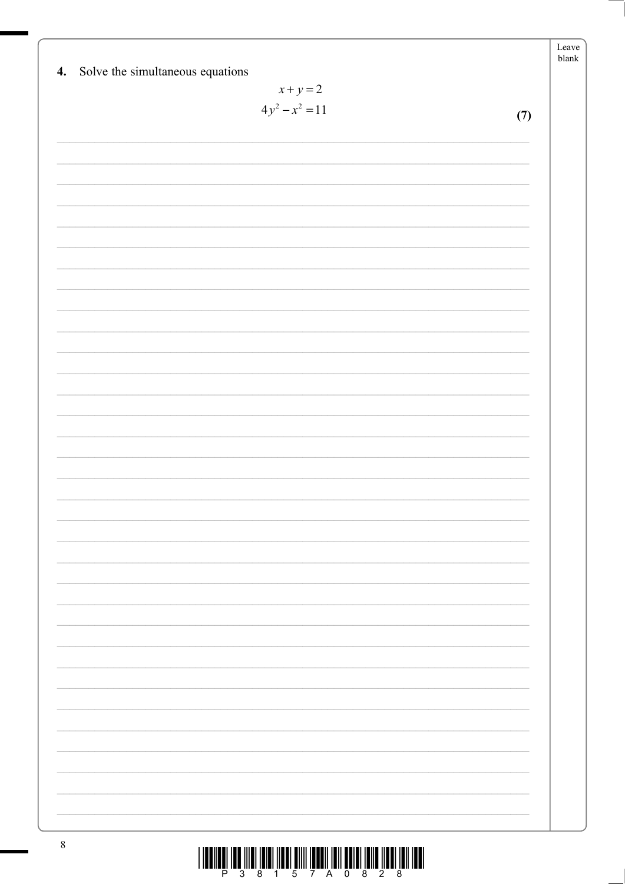| 4. Solve the simultaneous equations |     |
|-------------------------------------|-----|
| $x + y = 2$                         |     |
| $4y^2 - x^2 = 11$                   | (7) |
|                                     |     |
|                                     |     |
|                                     |     |
|                                     |     |
|                                     |     |
|                                     |     |
|                                     |     |
|                                     |     |
|                                     |     |
|                                     |     |
|                                     |     |
|                                     |     |
|                                     |     |
|                                     |     |
|                                     |     |
|                                     |     |
|                                     |     |
|                                     |     |
|                                     |     |
|                                     |     |
|                                     |     |
|                                     |     |
|                                     |     |
|                                     |     |
|                                     |     |
|                                     |     |
|                                     |     |
|                                     |     |
|                                     |     |
|                                     |     |
|                                     |     |
|                                     |     |
|                                     |     |
|                                     |     |

| Leave  $\vert$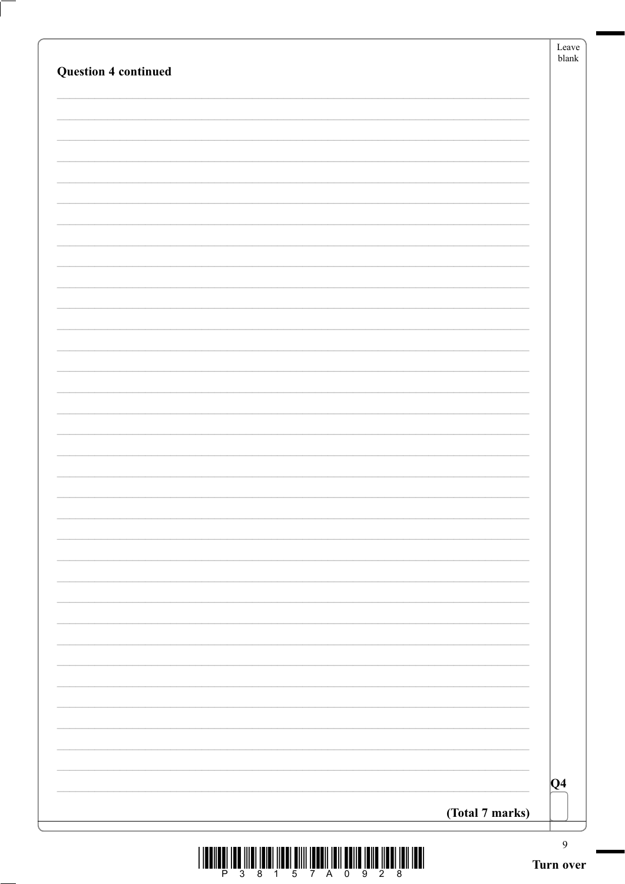| <b>Question 4 continued</b> |                 | Leave<br>blank |
|-----------------------------|-----------------|----------------|
|                             |                 |                |
|                             |                 |                |
|                             |                 |                |
|                             |                 |                |
|                             |                 |                |
|                             |                 |                |
|                             |                 |                |
|                             |                 |                |
|                             |                 |                |
|                             |                 |                |
|                             |                 |                |
|                             |                 |                |
|                             |                 |                |
|                             |                 |                |
|                             |                 |                |
|                             |                 |                |
|                             |                 |                |
|                             |                 |                |
|                             |                 |                |
|                             |                 |                |
|                             |                 |                |
|                             |                 |                |
|                             |                 |                |
|                             |                 |                |
|                             |                 | $ Q_4 $        |
|                             | (Total 7 marks) |                |
|                             |                 | 9              |
|                             |                 | Turn over      |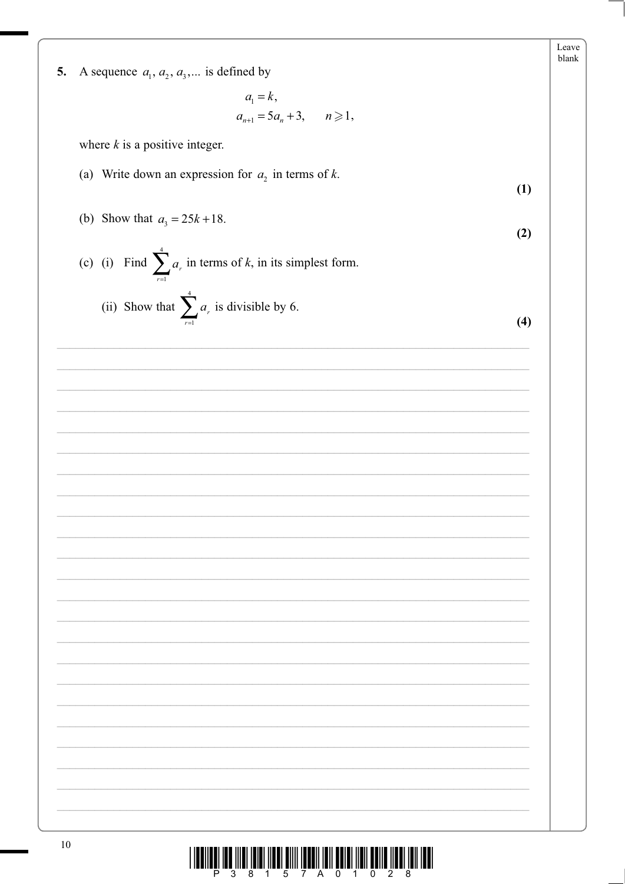blank 5. A sequence  $a_1, a_2, a_3, \dots$  is defined by  $a_1 = k$ ,  $a_{n+1} = 5a_n + 3, \quad n \ge 1,$ where  $k$  is a positive integer. (a) Write down an expression for  $a_2$  in terms of k.  $(1)$ (b) Show that  $a_3 = 25k + 18$ .  $(2)$ (c) (i) Find  $\sum_{r=1}^{4} a_r$  in terms of k, in its simplest form. (ii) Show that  $\sum_{r=1}^{4} a_r$  is divisible by 6.  $(4)$ 10

Leave

<u> ITOIITTI ITO III ITOI ITOI III ONI TUNI LEENI ITI TUNI ITOI TUNE IITOI ITOI ITOI</u> P 3 8 1 5 7 A 0 1 0 2 8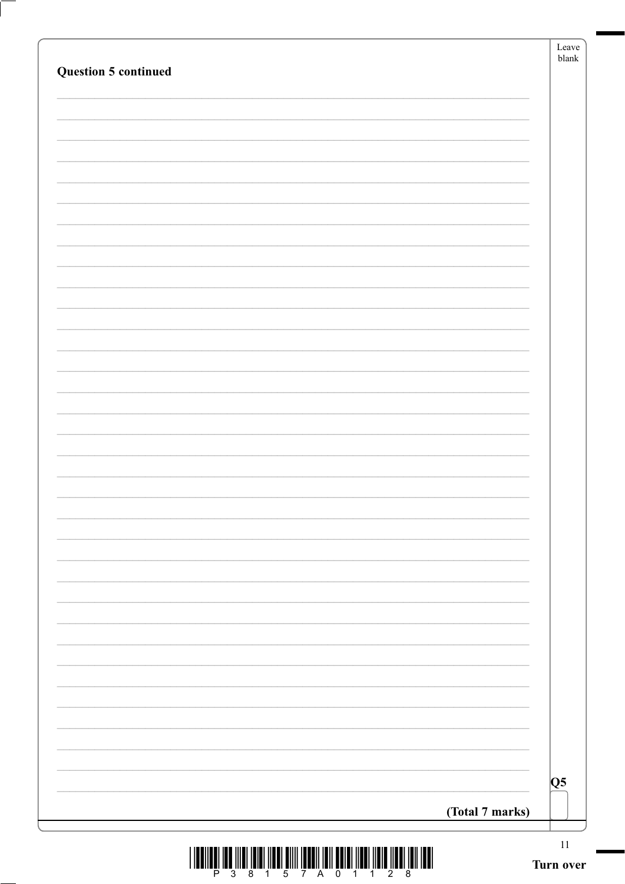|                             | Leave<br>$\ensuremath{\textrm{blank}}$ |
|-----------------------------|----------------------------------------|
| <b>Question 5 continued</b> |                                        |
|                             |                                        |
|                             |                                        |
|                             |                                        |
|                             |                                        |
|                             |                                        |
|                             |                                        |
|                             |                                        |
|                             |                                        |
|                             |                                        |
|                             |                                        |
|                             |                                        |
|                             |                                        |
|                             |                                        |
|                             |                                        |
|                             |                                        |
|                             |                                        |
|                             |                                        |
|                             |                                        |
|                             |                                        |
|                             |                                        |
|                             |                                        |
|                             |                                        |
|                             |                                        |
|                             |                                        |
|                             |                                        |
|                             |                                        |
|                             |                                        |
|                             |                                        |
|                             |                                        |
|                             |                                        |
|                             | Q5                                     |
|                             |                                        |
| (Total 7 marks)             |                                        |
|                             | $11\,$                                 |

Ĺ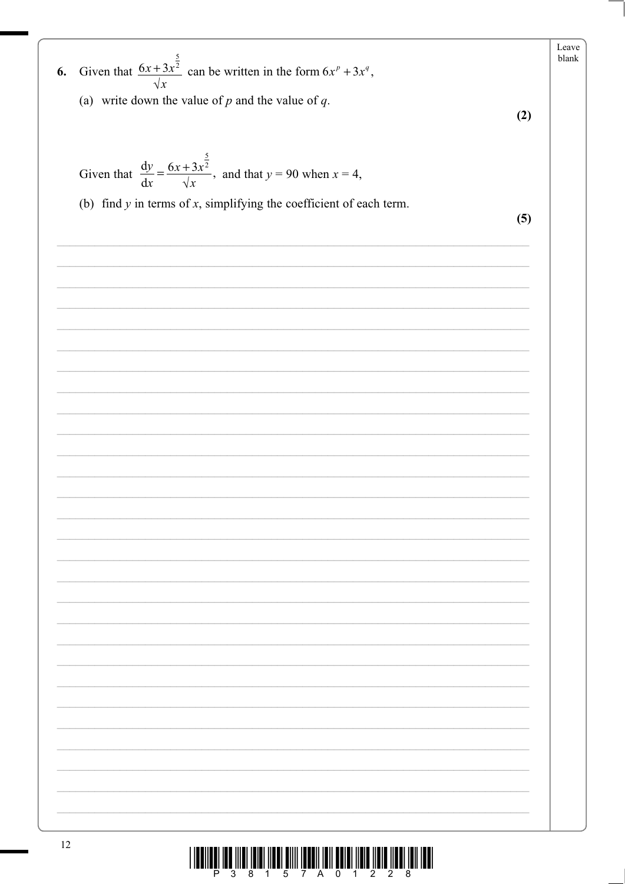|    |                                                                                                        | Leave<br>blank |
|----|--------------------------------------------------------------------------------------------------------|----------------|
| 6. | Given that $\frac{6x+3x^{\frac{5}{2}}}{\sqrt{x}}$ can be written in the form $6x^p + 3x^q$ ,           |                |
|    | (a) write down the value of $p$ and the value of $q$ .                                                 |                |
|    | (2)                                                                                                    |                |
|    |                                                                                                        |                |
|    | Given that $\frac{dy}{dx} = \frac{6x + 3x^{\frac{5}{2}}}{\sqrt{x}}$ , and that $y = 90$ when $x = 4$ , |                |
|    |                                                                                                        |                |
|    | (b) find $y$ in terms of $x$ , simplifying the coefficient of each term.                               |                |
|    | (5)                                                                                                    |                |
|    |                                                                                                        |                |
|    |                                                                                                        |                |
|    |                                                                                                        |                |
|    |                                                                                                        |                |
|    |                                                                                                        |                |
|    |                                                                                                        |                |
|    |                                                                                                        |                |
|    |                                                                                                        |                |
|    |                                                                                                        |                |
|    |                                                                                                        |                |
|    |                                                                                                        |                |
|    |                                                                                                        |                |
|    |                                                                                                        |                |
|    |                                                                                                        |                |
|    |                                                                                                        |                |
|    |                                                                                                        |                |
|    |                                                                                                        |                |
|    |                                                                                                        |                |
|    |                                                                                                        |                |
|    |                                                                                                        |                |
|    |                                                                                                        |                |
|    |                                                                                                        |                |
|    |                                                                                                        |                |
|    |                                                                                                        |                |
|    |                                                                                                        |                |
|    |                                                                                                        |                |
|    |                                                                                                        |                |

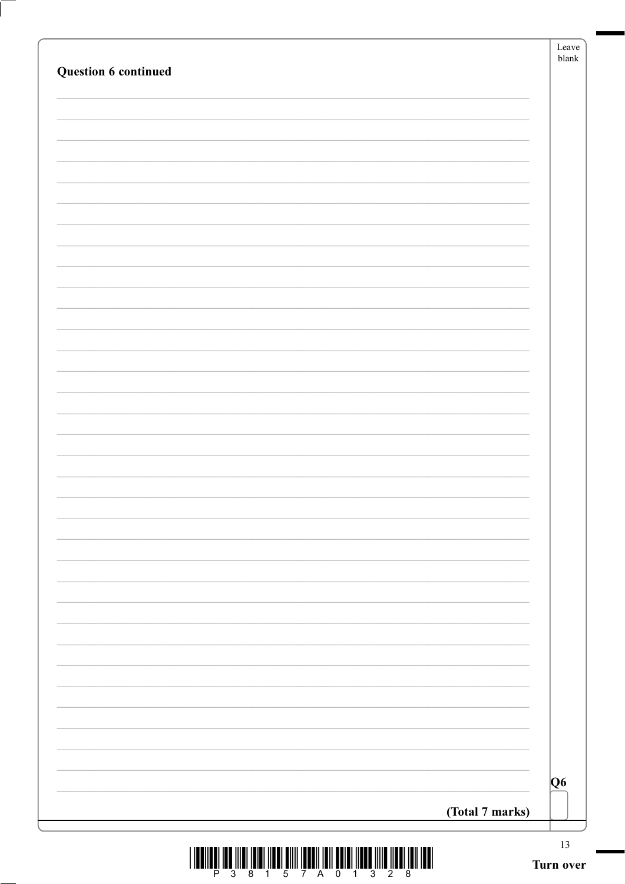|                      | Leave<br>$\ensuremath{\textrm{blank}}$ |
|----------------------|----------------------------------------|
| Question 6 continued |                                        |
|                      |                                        |
|                      |                                        |
|                      |                                        |
|                      |                                        |
|                      |                                        |
|                      |                                        |
|                      |                                        |
|                      |                                        |
|                      |                                        |
|                      |                                        |
|                      |                                        |
|                      |                                        |
|                      |                                        |
|                      |                                        |
|                      |                                        |
|                      |                                        |
|                      |                                        |
|                      |                                        |
|                      |                                        |
|                      |                                        |
|                      |                                        |
|                      |                                        |
|                      |                                        |
|                      |                                        |
|                      |                                        |
|                      |                                        |
|                      |                                        |
|                      |                                        |
|                      |                                        |
|                      |                                        |
|                      | Q6                                     |
|                      |                                        |
| (Total 7 marks)      |                                        |
|                      | $13\,$                                 |

Ĺ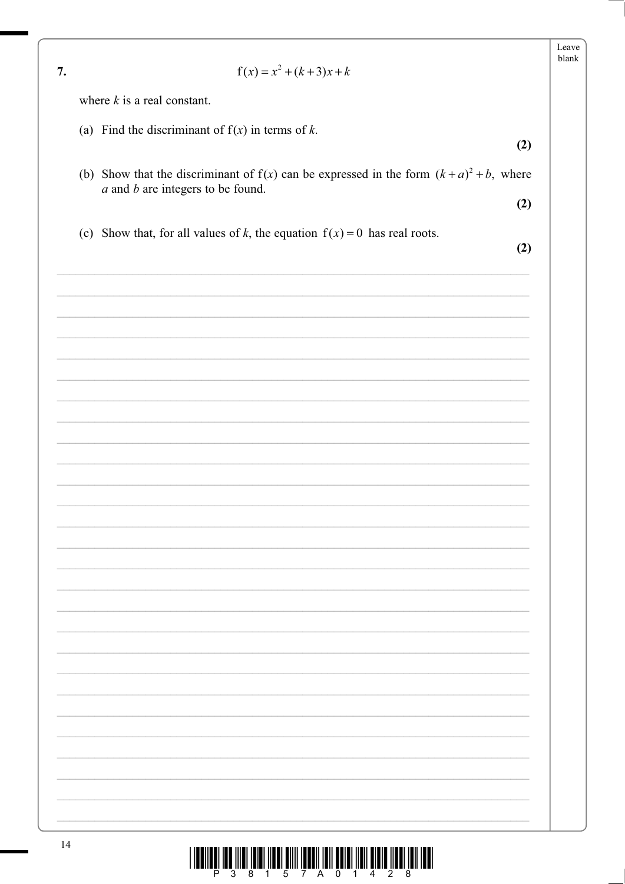Leave blank  $f(x) = x^2 + (k+3)x + k$ 7. where  $k$  is a real constant. (a) Find the discriminant of  $f(x)$  in terms of k.  $(2)$ (b) Show that the discriminant of  $f(x)$  can be expressed in the form  $(k+a)^2 + b$ , where *a* and *b* are integers to be found.  $(2)$ (c) Show that, for all values of k, the equation  $f(x) = 0$  has real roots.  $(2)$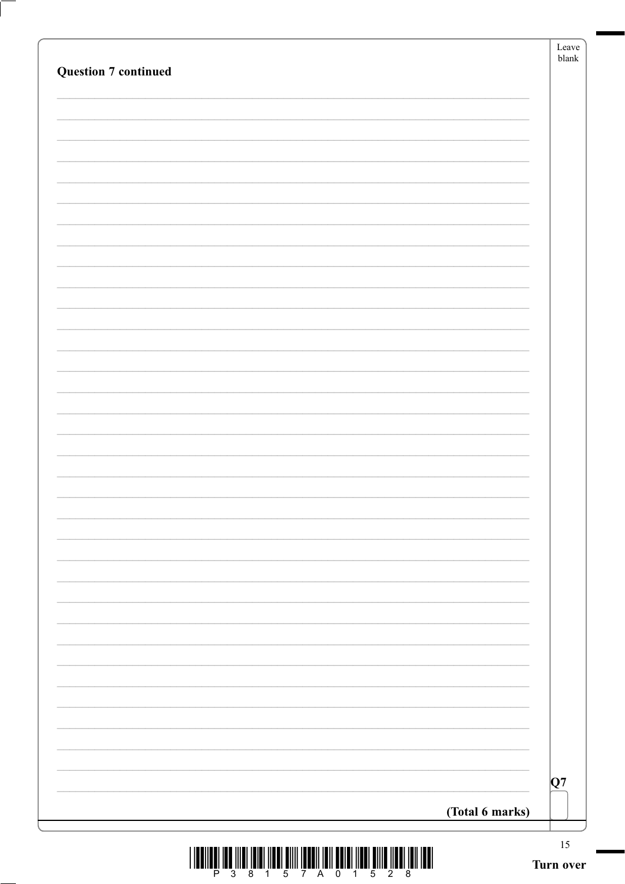| <b>Question 7 continued</b> | Leave<br>${\tt blank}$ |
|-----------------------------|------------------------|
|                             |                        |
|                             |                        |
|                             |                        |
|                             |                        |
|                             |                        |
|                             |                        |
|                             |                        |
|                             |                        |
|                             |                        |
|                             |                        |
|                             |                        |
|                             |                        |
|                             |                        |
|                             |                        |
|                             |                        |
|                             |                        |
|                             |                        |
|                             |                        |
|                             |                        |
|                             |                        |
|                             |                        |
|                             |                        |
|                             |                        |
|                             |                        |
|                             |                        |
|                             |                        |
|                             |                        |
|                             |                        |
|                             |                        |
|                             |                        |
|                             |                        |
|                             | $\overline{Q7}$        |
| (Total 6 marks)             |                        |
|                             | 15                     |

Ĺ

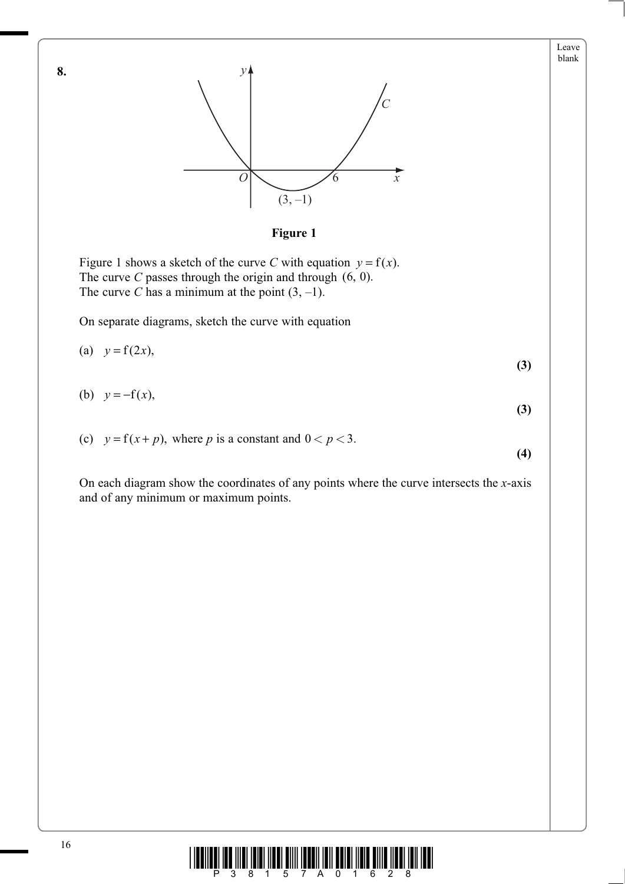

Leave blank

**(4)**

**Figure 1**

Figure 1 shows a sketch of the curve *C* with equation  $y = f(x)$ . The curve *C* passes through the origin and through (6, 0). The curve *C* has a minimum at the point  $(3, -1)$ .

On separate diagrams, sketch the curve with equation

$$
(a) \quad y = f(2x), \tag{3}
$$

(b) 
$$
y = -f(x)
$$
, (3)

(c)  $y = f(x+p)$ , where *p* is a constant and  $0 < p < 3$ .

 On each diagram show the coordinates of any points where the curve intersects the *x*-axis and of any minimum or maximum points.



**8.**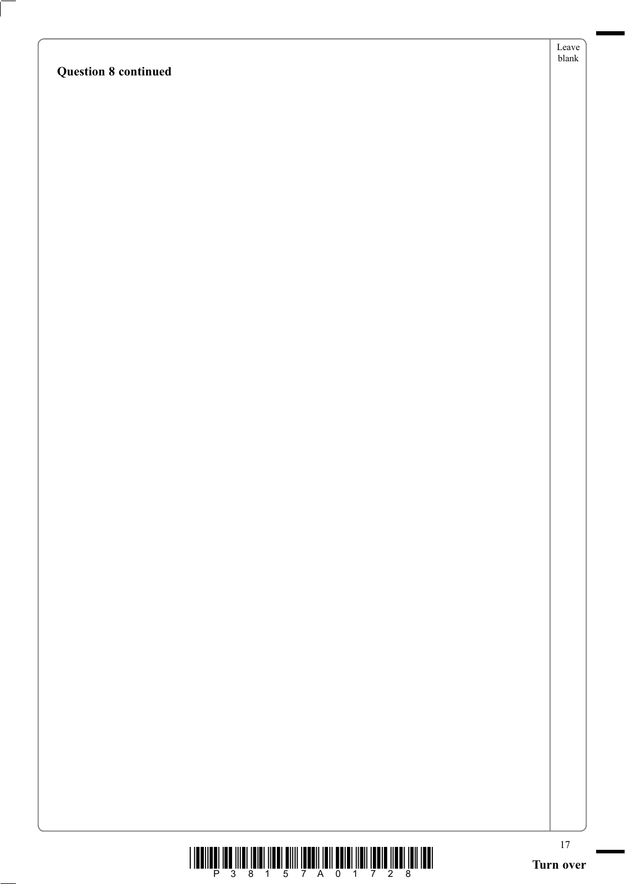**Question 8 continued**

-

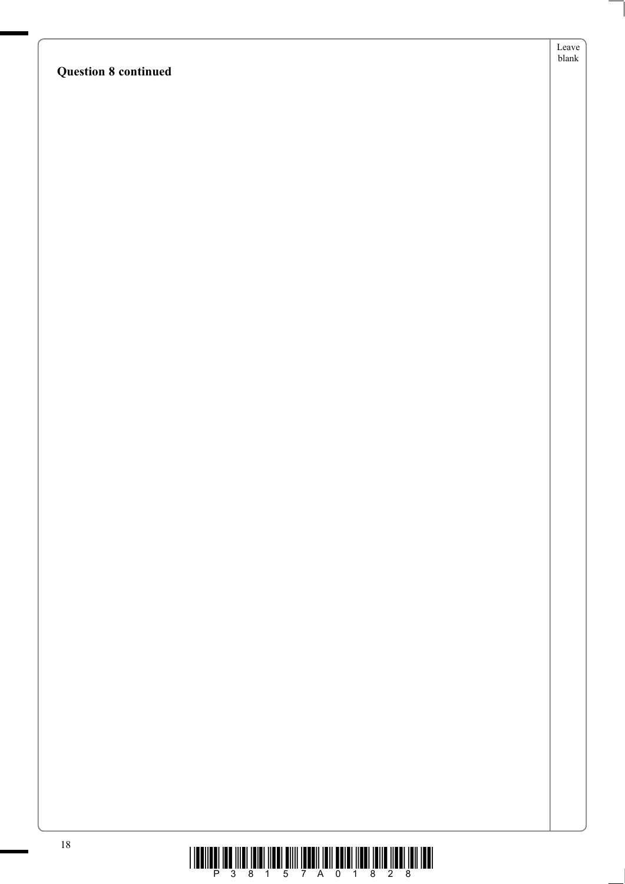**Question 8 continued**

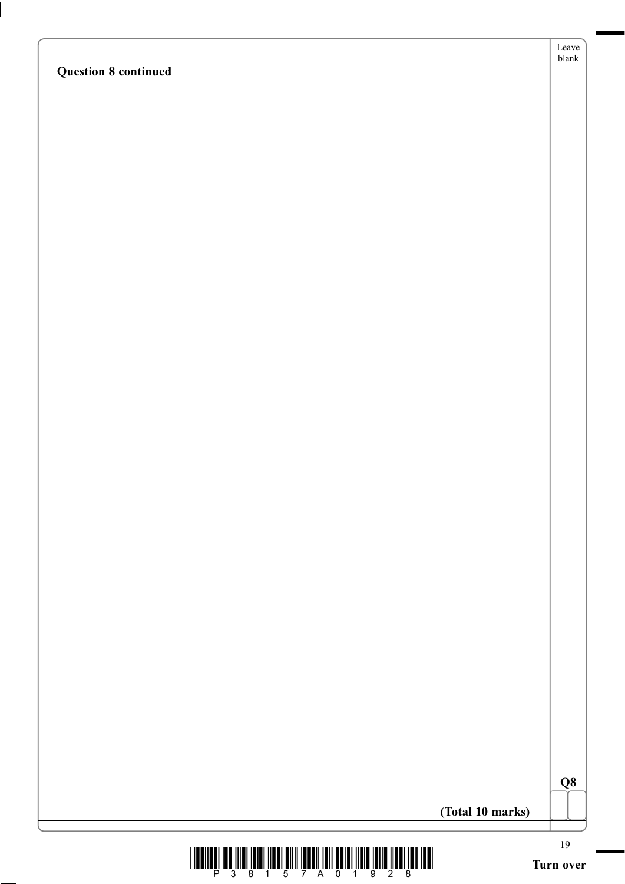-

Leave blank

| (Total 10 marks) |
|------------------|
|------------------|



**Q8**

<sup>19</sup> \*P38157A01928\* **Turn over**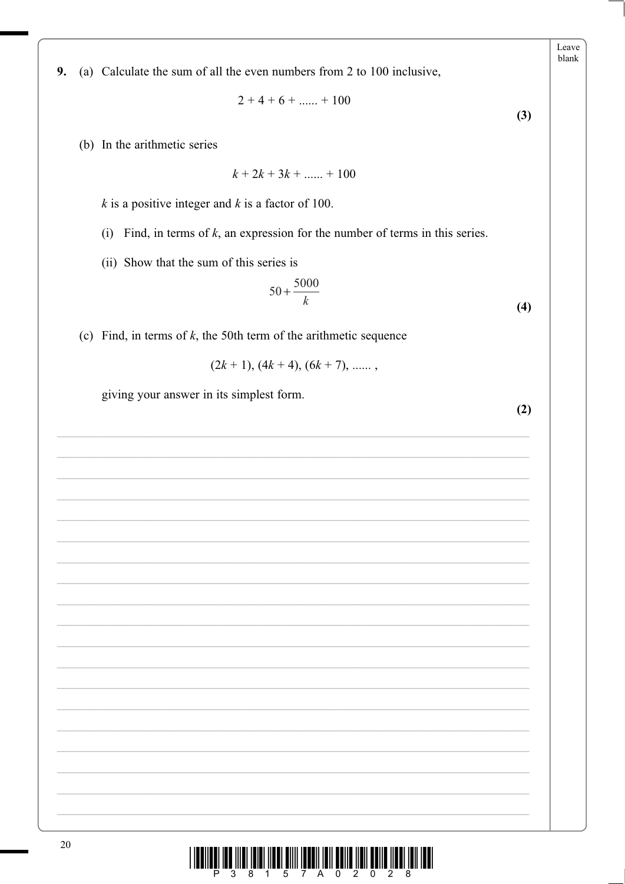9. (a) Calculate the sum of all the even numbers from 2 to 100 inclusive,

 $2+4+6+......+100$ 

(b) In the arithmetic series

 $k+2k+3k+......+100$ 

 $k$  is a positive integer and  $k$  is a factor of 100.

(i) Find, in terms of  $k$ , an expression for the number of terms in this series.

(ii) Show that the sum of this series is

$$
50 + \frac{5000}{k}
$$
 (4)

(c) Find, in terms of  $k$ , the 50th term of the arithmetic sequence

 $(2k+1), (4k+4), (6k+7), \ldots$ 

giving your answer in its simplest form.

 $(2)$ 

Leave blank

 $(3)$ 

I ILAINAAN INTA INTAI JANAH INTAI TAINI ILAUTI JANI ALAHA INTII ANTII INTII ILAUT INTII ILAU 3 8 1 5 7 A 0 2 0 2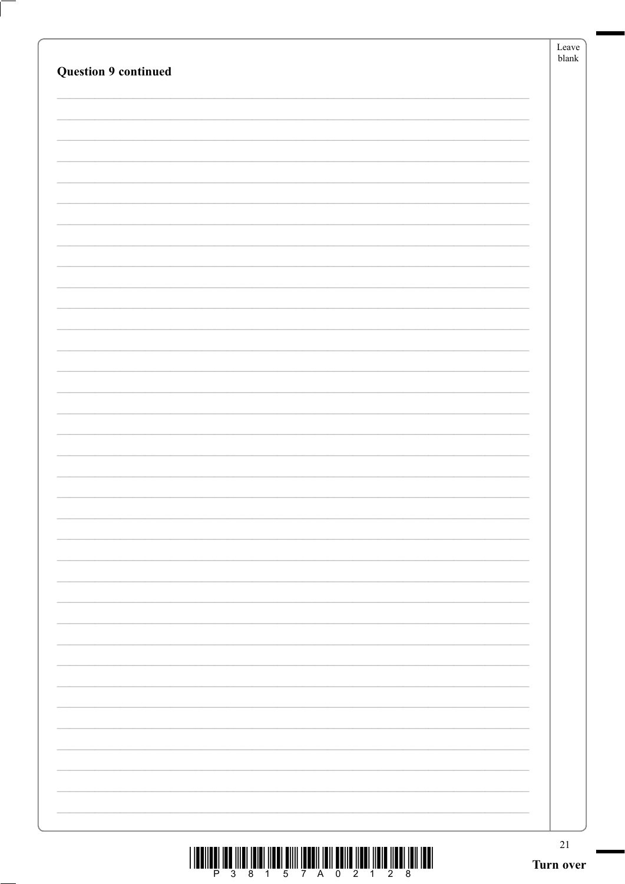| <b>Question 9 continued</b>                                                                                                                                                                                                                                                                                                                                                                                                                                   | Leave<br>$b$ lank |
|---------------------------------------------------------------------------------------------------------------------------------------------------------------------------------------------------------------------------------------------------------------------------------------------------------------------------------------------------------------------------------------------------------------------------------------------------------------|-------------------|
|                                                                                                                                                                                                                                                                                                                                                                                                                                                               |                   |
|                                                                                                                                                                                                                                                                                                                                                                                                                                                               |                   |
|                                                                                                                                                                                                                                                                                                                                                                                                                                                               |                   |
|                                                                                                                                                                                                                                                                                                                                                                                                                                                               |                   |
|                                                                                                                                                                                                                                                                                                                                                                                                                                                               |                   |
|                                                                                                                                                                                                                                                                                                                                                                                                                                                               |                   |
|                                                                                                                                                                                                                                                                                                                                                                                                                                                               |                   |
|                                                                                                                                                                                                                                                                                                                                                                                                                                                               |                   |
|                                                                                                                                                                                                                                                                                                                                                                                                                                                               |                   |
|                                                                                                                                                                                                                                                                                                                                                                                                                                                               |                   |
|                                                                                                                                                                                                                                                                                                                                                                                                                                                               |                   |
|                                                                                                                                                                                                                                                                                                                                                                                                                                                               |                   |
|                                                                                                                                                                                                                                                                                                                                                                                                                                                               |                   |
|                                                                                                                                                                                                                                                                                                                                                                                                                                                               |                   |
|                                                                                                                                                                                                                                                                                                                                                                                                                                                               |                   |
|                                                                                                                                                                                                                                                                                                                                                                                                                                                               |                   |
|                                                                                                                                                                                                                                                                                                                                                                                                                                                               |                   |
|                                                                                                                                                                                                                                                                                                                                                                                                                                                               |                   |
|                                                                                                                                                                                                                                                                                                                                                                                                                                                               |                   |
|                                                                                                                                                                                                                                                                                                                                                                                                                                                               |                   |
|                                                                                                                                                                                                                                                                                                                                                                                                                                                               |                   |
|                                                                                                                                                                                                                                                                                                                                                                                                                                                               |                   |
|                                                                                                                                                                                                                                                                                                                                                                                                                                                               |                   |
|                                                                                                                                                                                                                                                                                                                                                                                                                                                               |                   |
|                                                                                                                                                                                                                                                                                                                                                                                                                                                               |                   |
|                                                                                                                                                                                                                                                                                                                                                                                                                                                               |                   |
|                                                                                                                                                                                                                                                                                                                                                                                                                                                               |                   |
|                                                                                                                                                                                                                                                                                                                                                                                                                                                               |                   |
|                                                                                                                                                                                                                                                                                                                                                                                                                                                               |                   |
|                                                                                                                                                                                                                                                                                                                                                                                                                                                               |                   |
| $\begin{array}{c} \text{if} \ \text{if} \ \text{if} \ \text{if} \ \text{if} \ \text{if} \ \text{if} \ \text{if} \ \text{if} \ \text{if} \ \text{if} \ \text{if} \ \text{if} \ \text{if} \ \text{if} \ \text{if} \ \text{if} \ \text{if} \ \text{if} \ \text{if} \ \text{if} \ \text{if} \ \text{if} \ \text{if} \ \text{if} \ \text{if} \ \text{if} \ \text{if} \ \text{if} \ \text{if} \ \text{if} \ \text{if} \ \text{if} \ \text{if} \ \text{if} \ \text{$ | 21<br>Turn over   |

 $\overline{\phantom{a}}$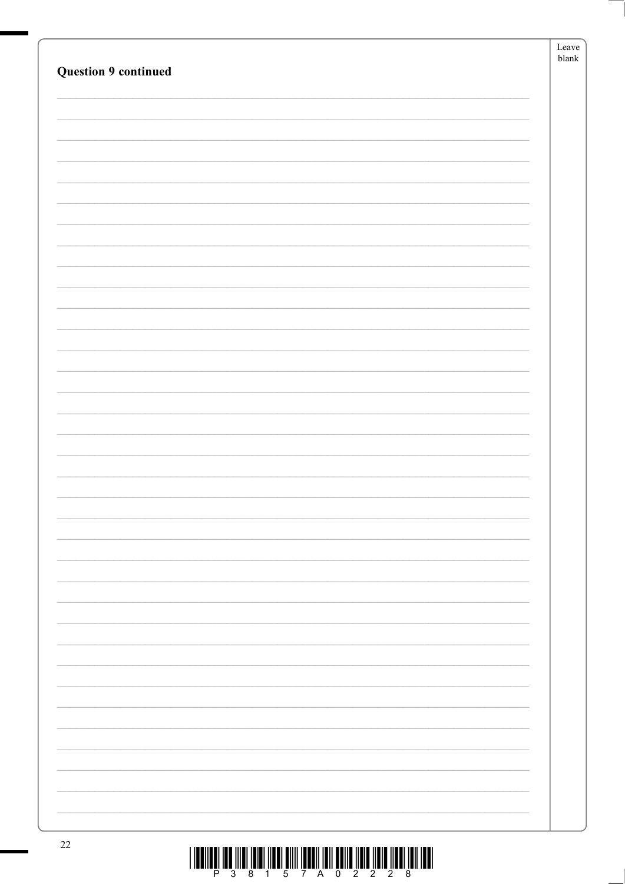|                             | Leave<br>blank |
|-----------------------------|----------------|
| <b>Question 9 continued</b> |                |
|                             |                |
|                             |                |
|                             |                |
|                             |                |
|                             |                |
|                             |                |
|                             |                |
|                             |                |
|                             |                |
|                             |                |
|                             |                |
|                             |                |
|                             |                |
|                             |                |
|                             |                |
|                             |                |
|                             |                |
|                             |                |
|                             |                |
|                             |                |
|                             |                |
|                             |                |
|                             |                |
|                             |                |
|                             |                |
|                             |                |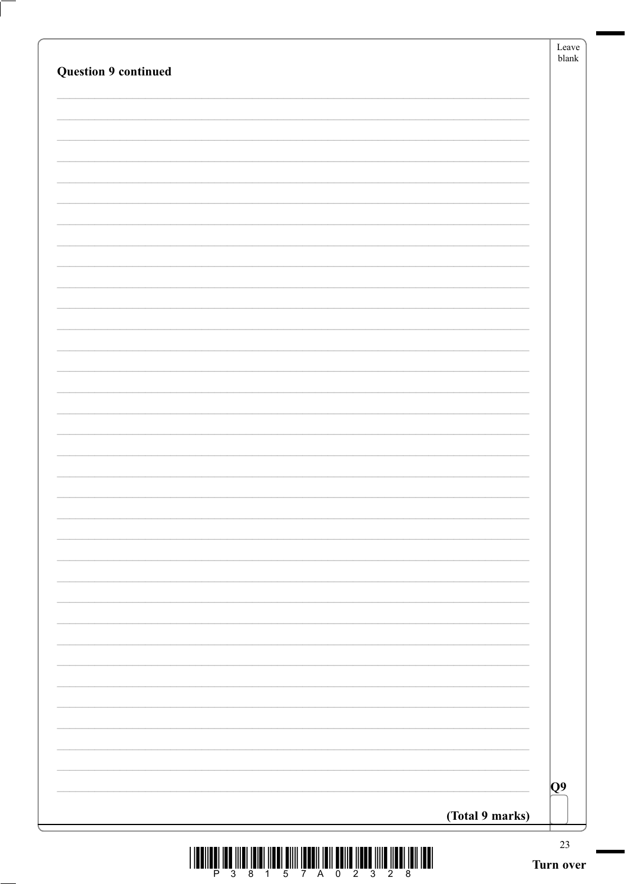| <b>Question 9 continued</b> |                 | Leave<br>${\sf blank}$ |
|-----------------------------|-----------------|------------------------|
|                             |                 |                        |
|                             |                 |                        |
|                             |                 |                        |
|                             |                 |                        |
|                             |                 |                        |
|                             |                 |                        |
|                             |                 |                        |
|                             |                 |                        |
|                             |                 |                        |
|                             |                 |                        |
|                             |                 |                        |
|                             |                 |                        |
|                             |                 |                        |
|                             |                 |                        |
|                             |                 |                        |
|                             |                 |                        |
|                             |                 |                        |
|                             |                 |                        |
|                             |                 | Q9                     |
|                             | (Total 9 marks) |                        |

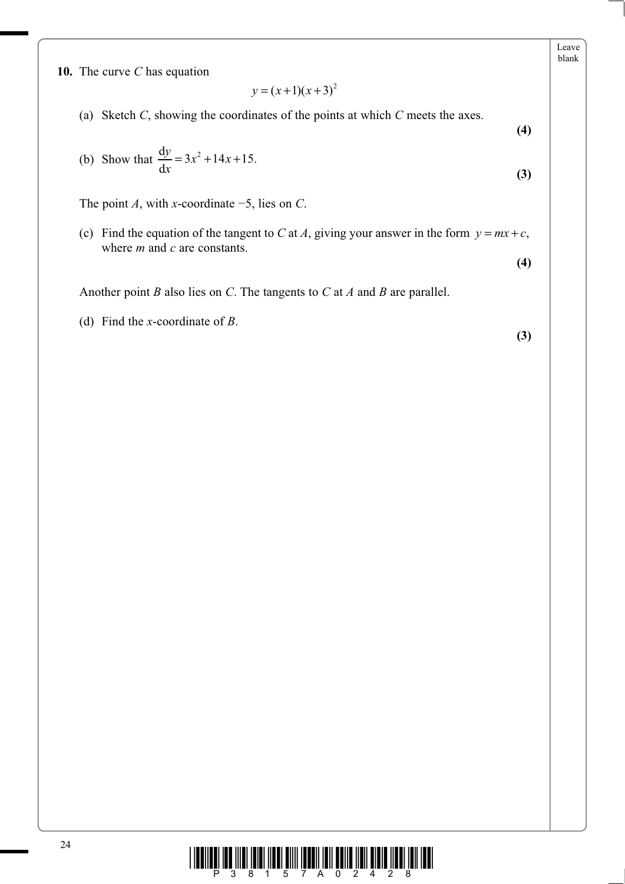Leave blank **10.** The curve *C* has equation  $y = (x+1)(x+3)^2$  (a) Sketch *C*, showing the coordinates of the points at which *C* meets the axes. **(4)** (b) Show that  $\frac{dy}{dx} = 3x^2 + 14x + 15$ . d  $\frac{y}{x} = 3x^2 + 14x$  $\frac{y}{x}$  = 3x<sup>2</sup> + 14x + **(3)** The point *A*, with *x*-coordinate  $-5$ , lies on *C*. (c) Find the equation of the tangent to *C* at *A*, giving your answer in the form  $y = mx + c$ , where *m* and *c* are constants. **(4)**

Another point *B* also lies on *C*. The tangents to *C* at *A* and *B* are parallel.

(d) Find the *x*-coordinate of *B*.

**(3)**

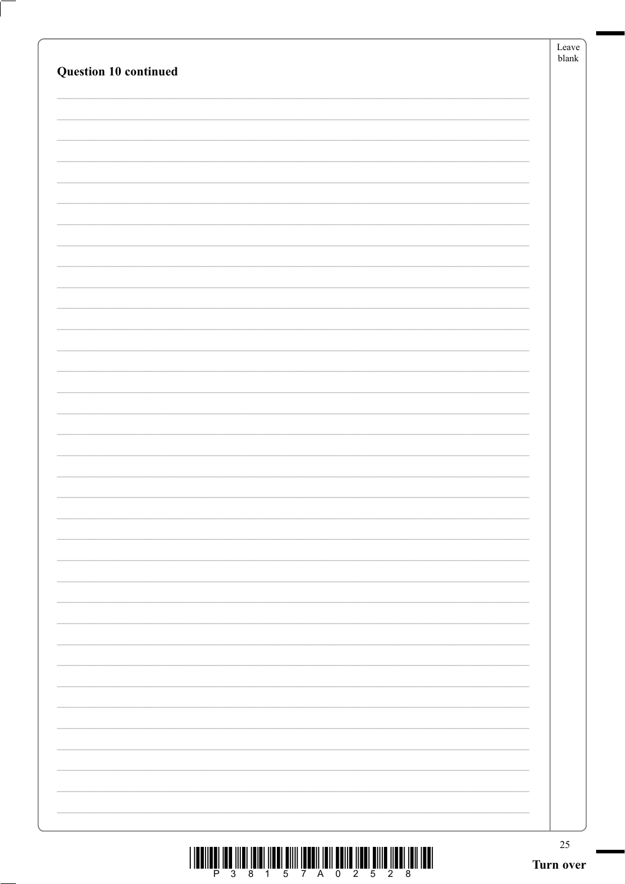|                       | $25\,$<br>Turn over |
|-----------------------|---------------------|
|                       |                     |
|                       |                     |
|                       |                     |
|                       |                     |
|                       |                     |
|                       |                     |
|                       |                     |
|                       |                     |
|                       |                     |
|                       |                     |
|                       |                     |
|                       |                     |
|                       |                     |
|                       |                     |
|                       |                     |
|                       |                     |
|                       |                     |
| Question 10 continued | ${\tt blank}$       |

 $\overline{\phantom{a}}$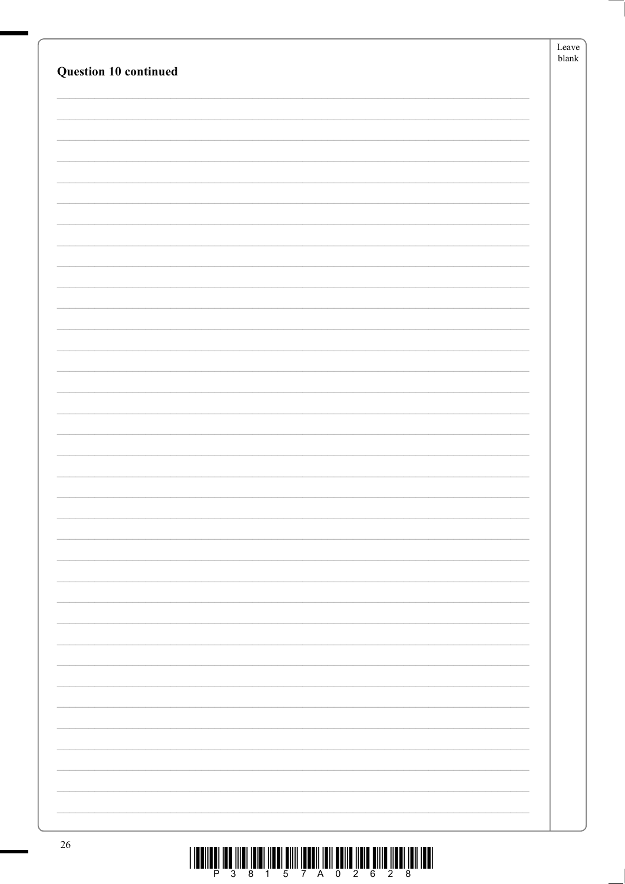| Question 10 continued | Leave         |
|-----------------------|---------------|
|                       | ${\tt blank}$ |
|                       |               |
|                       |               |
|                       |               |
|                       |               |
|                       |               |
|                       |               |
|                       |               |
|                       |               |
|                       |               |
|                       |               |
|                       |               |
|                       |               |
|                       |               |
|                       |               |
|                       |               |
|                       |               |
|                       |               |
|                       |               |
|                       |               |
|                       |               |
|                       |               |
|                       |               |
|                       |               |
|                       |               |
|                       |               |
|                       |               |
|                       |               |
|                       |               |
|                       |               |
|                       |               |
|                       |               |
|                       |               |
|                       |               |
|                       |               |
|                       |               |
|                       |               |
|                       |               |
|                       |               |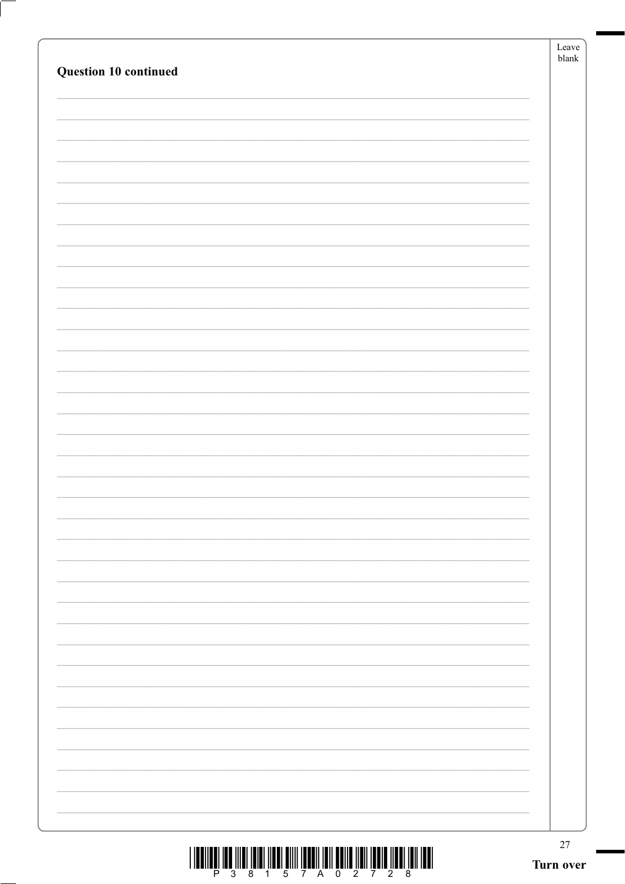| Question 10 continued                                                                     | $\ensuremath{\text{Leave}}$<br>${\sf blank}$ |
|-------------------------------------------------------------------------------------------|----------------------------------------------|
|                                                                                           |                                              |
|                                                                                           |                                              |
|                                                                                           |                                              |
|                                                                                           |                                              |
|                                                                                           |                                              |
|                                                                                           |                                              |
|                                                                                           |                                              |
|                                                                                           |                                              |
|                                                                                           |                                              |
|                                                                                           |                                              |
|                                                                                           |                                              |
|                                                                                           |                                              |
|                                                                                           |                                              |
|                                                                                           |                                              |
|                                                                                           |                                              |
|                                                                                           |                                              |
|                                                                                           |                                              |
|                                                                                           |                                              |
|                                                                                           |                                              |
|                                                                                           |                                              |
|                                                                                           |                                              |
|                                                                                           |                                              |
|                                                                                           |                                              |
|                                                                                           |                                              |
|                                                                                           |                                              |
|                                                                                           |                                              |
|                                                                                           |                                              |
|                                                                                           |                                              |
|                                                                                           |                                              |
|                                                                                           |                                              |
|                                                                                           |                                              |
| THE UNITED THE TITLE THAT THEIR BILL THE LEADER THIS HEIR TITLE THEIR THEIR THE TITLE THE | $27\,$                                       |

 $\overline{\phantom{a}}$